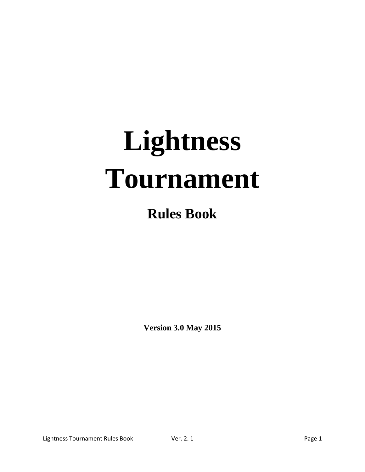# **Lightness Tournament**

# **Rules Book**

**Version 3.0 May 2015**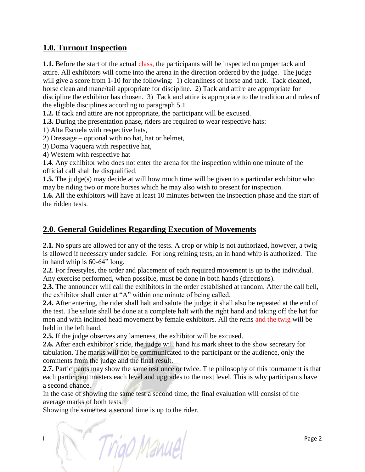# **1.0. Turnout Inspection**

**1.1.** Before the start of the actual class, the participants will be inspected on proper tack and attire. All exhibitors will come into the arena in the direction ordered by the judge. The judge will give a score from 1-10 for the following: 1) cleanliness of horse and tack. Tack cleaned, horse clean and mane/tail appropriate for discipline. 2) Tack and attire are appropriate for discipline the exhibitor has chosen. 3) Tack and attire is appropriate to the tradition and rules of the eligible disciplines according to paragraph 5.1

**1.2.** If tack and attire are not appropriate, the participant will be excused.

**1.3.** During the presentation phase, riders are required to wear respective hats:

1) Alta Escuela with respective hats,

2) Dressage – optional with no hat, hat or helmet,

3) Doma Vaquera with respective hat,

4) Western with respective hat

**1.4**. Any exhibitor who does not enter the arena for the inspection within one minute of the official call shall be disqualified.

**1.5.** The judge(s) may decide at will how much time will be given to a particular exhibitor who may be riding two or more horses which he may also wish to present for inspection.

**1.6.** All the exhibitors will have at least 10 minutes between the inspection phase and the start of the ridden tests.

# **2.0. General Guidelines Regarding Execution of Movements**

**2.1.** No spurs are allowed for any of the tests. A crop or whip is not authorized, however, a twig is allowed if necessary under saddle. For long reining tests, an in hand whip is authorized. The in hand whip is 60-64" long.

**2.2**. For freestyles, the order and placement of each required movement is up to the individual. Any exercise performed, when possible, must be done in both hands (directions).

**2.3.** The announcer will call the exhibitors in the order established at random. After the call bell, the exhibitor shall enter at "A" within one minute of being called.

**2.4.** After entering, the rider shall halt and salute the judge; it shall also be repeated at the end of the test. The salute shall be done at a complete halt with the right hand and taking off the hat for men and with inclined head movement by female exhibitors. All the reins and the twig will be held in the left hand.

**2.5.** If the judge observes any lameness, the exhibitor will be excused.

**2.6.** After each exhibitor's ride, the judge will hand his mark sheet to the show secretary for tabulation. The marks will not be communicated to the participant or the audience, only the comments from the judge and the final result.

**2.7.** Participants may show the same test once or twice. The philosophy of this tournament is that each participant masters each level and upgrades to the next level. This is why participants have a second chance.

In the case of showing the same test a second time, the final evaluation will consist of the average marks of both tests.

Showing the same test a second time is up to the rider.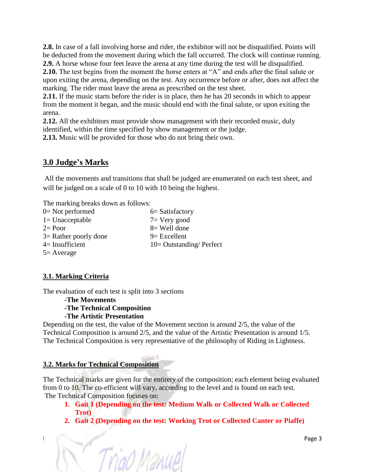**2.8.** In case of a fall involving horse and rider, the exhibitor will not be disqualified. Points will be deducted from the movement during which the fall occurred. The clock will continue running. **2.9.** A horse whose four feet leave the arena at any time during the test will be disqualified.

**2.10.** The test begins from the moment the horse enters at "A" and ends after the final salute or upon exiting the arena, depending on the test. Any occurrence before or after, does not affect the marking. The rider must leave the arena as prescribed on the test sheet.

**2.11.** If the music starts before the rider is in place, then he has 20 seconds in which to appear from the moment it began, and the music should end with the final salute, or upon exiting the arena.

**2.12.** All the exhibitors must provide show management with their recorded music, duly identified, within the time specified by show management or the judge.

**2.13.** Music will be provided for those who do not bring their own.

# **3.0 Judge's Marks**

All the movements and transitions that shall be judged are enumerated on each test sheet, and will be judged on a scale of 0 to 10 with 10 being the highest.

The marking breaks down as follows:

| $0=$ Not performed      | $6=$ Satisfactory         |
|-------------------------|---------------------------|
| $1 =$ Unacceptable      | $7 = \text{Very good}$    |
| $2 = Poor$              | $8 =$ Well done           |
| $3=$ Rather poorly done | $9$ = Excellent           |
| $4=$ Insufficient       | $10=$ Outstanding/Perfect |
| $5 =$ Average           |                           |

Triao Manue

# **3.1. Marking Criteria**

The evaluation of each test is split into 3 sections

# **-The Movements -The Technical Composition -The Artistic Presentation**

Depending on the test, the value of the Movement section is around 2/5, the value of the Technical Composition is around 2/5, and the value of the Artistic Presentation is around 1/5. The Technical Composition is very representative of the philosophy of Riding in Lightness.

# **3.2. Marks for Technical Composition**

The Technical marks are given for the entirety of the composition; each element being evaluated from 0 to 10. The co-efficient will vary, according to the level and is found on each test. The Technical Composition focuses on:

- **1. Gait 1 (Depending on the test: Medium Walk or Collected Walk or Collected Trot)**
- **2. Gait 2 (Depending on the test: Working Trot or Collected Canter or Piaffe)**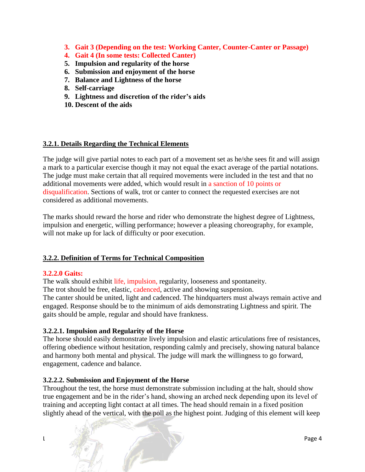- **3. Gait 3 (Depending on the test: Working Canter, Counter-Canter or Passage)**
- **4. Gait 4 (In some tests: Collected Canter)**
- **5. Impulsion and regularity of the horse**
- **6. Submission and enjoyment of the horse**
- **7. Balance and Lightness of the horse**
- **8. Self-carriage**
- **9. Lightness and discretion of the rider's aids**
- **10. Descent of the aids**

# **3.2.1. Details Regarding the Technical Elements**

The judge will give partial notes to each part of a movement set as he/she sees fit and will assign a mark to a particular exercise though it may not equal the exact average of the partial notations. The judge must make certain that all required movements were included in the test and that no additional movements were added, which would result in a sanction of 10 points or disqualification. Sections of walk, trot or canter to connect the requested exercises are not considered as additional movements.

The marks should reward the horse and rider who demonstrate the highest degree of Lightness, impulsion and energetic, willing performance; however a pleasing choreography, for example, will not make up for lack of difficulty or poor execution.

# **3.2.2. Definition of Terms for Technical Composition**

#### **3.2.2.0 Gaits:**

The walk should exhibit life, impulsion, regularity, looseness and spontaneity.

The trot should be free, elastic, cadenced, active and showing suspension.

The canter should be united, light and cadenced. The hindquarters must always remain active and engaged. Response should be to the minimum of aids demonstrating Lightness and spirit. The gaits should be ample, regular and should have frankness.

#### **3.2.2.1. Impulsion and Regularity of the Horse**

The horse should easily demonstrate lively impulsion and elastic articulations free of resistances, offering obedience without hesitation, responding calmly and precisely, showing natural balance and harmony both mental and physical. The judge will mark the willingness to go forward, engagement, cadence and balance.

#### **3.2.2.2. Submission and Enjoyment of the Horse**

Throughout the test, the horse must demonstrate submission including at the halt, should show true engagement and be in the rider's hand, showing an arched neck depending upon its level of training and accepting light contact at all times. The head should remain in a fixed position slightly ahead of the vertical, with the poll as the highest point. Judging of this element will keep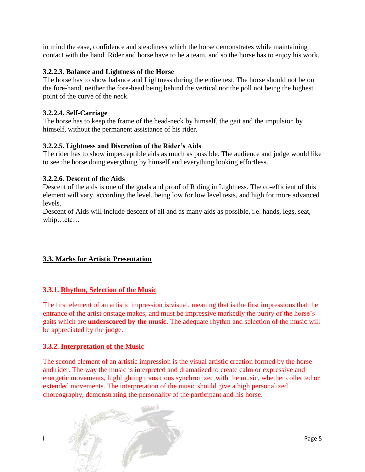in mind the ease, confidence and steadiness which the horse demonstrates while maintaining contact with the hand. Rider and horse have to be a team, and so the horse has to enjoy his work.

# **3.2.2.3. Balance and Lightness of the Horse**

The horse has to show balance and Lightness during the entire test. The horse should not be on the fore-hand, neither the fore-head being behind the vertical nor the poll not being the highest point of the curve of the neck.

#### **3.2.2.4. Self-Carriage**

The horse has to keep the frame of the head-neck by himself, the gait and the impulsion by himself, without the permanent assistance of his rider.

# **3.2.2.5. Lightness and Discretion of the Rider's Aids**

The rider has to show imperceptible aids as much as possible. The audience and judge would like to see the horse doing everything by himself and everything looking effortless.

# **3.2.2.6. Descent of the Aids**

Descent of the aids is one of the goals and proof of Riding in Lightness. The co-efficient of this element will vary, according the level, being low for low level tests, and high for more advanced levels.

Descent of Aids will include descent of all and as many aids as possible, i.e. hands, legs, seat, whip…etc…

# **3.3. Marks for Artistic Presentation**

# **3.3.1. Rhythm, Selection of the Music**

The first element of an artistic impression is visual, meaning that is the first impressions that the entrance of the artist onstage makes, and must be impressive markedly the purity of the horse's gaits which are **underscored by the music**. The adequate rhythm and selection of the music will be appreciated by the judge.

#### **3.3.2. Interpretation of the Music**

The second element of an artistic impression is the visual artistic creation formed by the horse and rider. The way the music is interpreted and dramatized to create calm or expressive and energetic movements, highlighting transitions synchronized with the music, whether collected or extended movements. The interpretation of the music should give a high personalized choreography, demonstrating the personality of the participant and his horse.

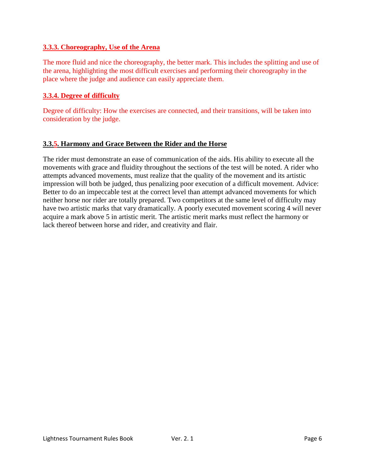# **3.3.3. Choreography, Use of the Arena**

The more fluid and nice the choreography, the better mark. This includes the splitting and use of the arena, highlighting the most difficult exercises and performing their choreography in the place where the judge and audience can easily appreciate them.

# **3.3.4. Degree of difficulty**

Degree of difficulty: How the exercises are connected, and their transitions, will be taken into consideration by the judge.

# **3.3.5. Harmony and Grace Between the Rider and the Horse**

The rider must demonstrate an ease of communication of the aids. His ability to execute all the movements with grace and fluidity throughout the sections of the test will be noted. A rider who attempts advanced movements, must realize that the quality of the movement and its artistic impression will both be judged, thus penalizing poor execution of a difficult movement. Advice: Better to do an impeccable test at the correct level than attempt advanced movements for which neither horse nor rider are totally prepared. Two competitors at the same level of difficulty may have two artistic marks that vary dramatically. A poorly executed movement scoring 4 will never acquire a mark above 5 in artistic merit. The artistic merit marks must reflect the harmony or lack thereof between horse and rider, and creativity and flair.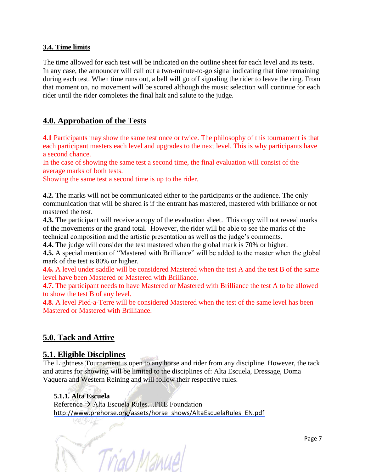# **3.4. Time limits**

The time allowed for each test will be indicated on the outline sheet for each level and its tests. In any case, the announcer will call out a two-minute-to-go signal indicating that time remaining during each test. When time runs out, a bell will go off signaling the rider to leave the ring. From that moment on, no movement will be scored although the music selection will continue for each rider until the rider completes the final halt and salute to the judge.

# **4.0. Approbation of the Tests**

**4.1** Participants may show the same test once or twice. The philosophy of this tournament is that each participant masters each level and upgrades to the next level. This is why participants have a second chance.

In the case of showing the same test a second time, the final evaluation will consist of the average marks of both tests.

Showing the same test a second time is up to the rider.

**4.2.** The marks will not be communicated either to the participants or the audience. The only communication that will be shared is if the entrant has mastered, mastered with brilliance or not mastered the test.

**4.3.** The participant will receive a copy of the evaluation sheet. This copy will not reveal marks of the movements or the grand total. However, the rider will be able to see the marks of the technical composition and the artistic presentation as well as the judge's comments.

**4.4.** The judge will consider the test mastered when the global mark is 70% or higher.

**4.5.** A special mention of "Mastered with Brilliance" will be added to the master when the global mark of the test is 80% or higher.

**4.6.** A level under saddle will be considered Mastered when the test A and the test B of the same level have been Mastered or Mastered with Brilliance.

**4.7.** The participant needs to have Mastered or Mastered with Brilliance the test A to be allowed to show the test B of any level.

**4.8.** A level Pied-a-Terre will be considered Mastered when the test of the same level has been Mastered or Mastered with Brilliance.

# **5.0. Tack and Attire**

# **5.1. Eligible Disciplines**

The Lightness Tournament is open to any horse and rider from any discipline. However, the tack and attires for showing will be limited to the disciplines of: Alta Escuela, Dressage, Doma Vaquera and Western Reining and will follow their respective rules.

# **5.1.1. Alta Escuela**

 $Reference \rightarrow Alta$  Escuela Rules—PRE Foundation [http://www.prehorse.org/assets/horse\\_shows/AltaEscuelaRules\\_EN.pdf](http://www.prehorse.org/assets/horse_shows/AltaEscuelaRules_EN.pdf)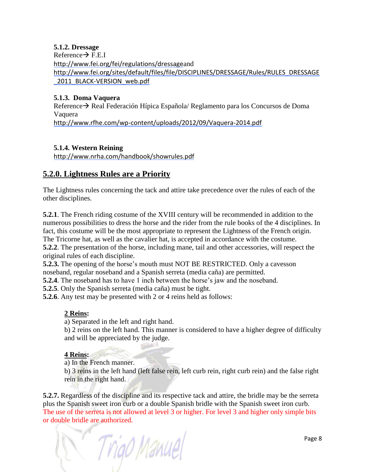**5.1.2. Dressage**

 $Reference \rightarrow F.E.I$ <http://www.fei.org/fei/regulations/dressage>and [http://www.fei.org/sites/default/files/file/DISCIPLINES/DRESSAGE/Rules/RULES\\_DRESSAGE](http://www.fei.org/sites/default/files/file/DISCIPLINES/DRESSAGE/Rules/RULES_DRESSAGE_2011_BLACK-VERSION_web.pdf) 2011\_BLACK-VERSION\_web.pdf

# **5.1.3. Doma Vaquera**

 $Reference \rightarrow Real Federation Hípica Española/ Regularento para los Concursos de Doma$ Vaquera <http://www.rfhe.com/wp-content/uploads/2012/09/Vaquera-2014.pdf>

# **5.1.4. Western Reining**

<http://www.nrha.com/handbook/showrules.pdf>

# **5.2.0. Lightness Rules are a Priority**

The Lightness rules concerning the tack and attire take precedence over the rules of each of the other disciplines.

**5.2.1**. The French riding costume of the XVIII century will be recommended in addition to the numerous possibilities to dress the horse and the rider from the rule books of the 4 disciplines. In fact, this costume will be the most appropriate to represent the Lightness of the French origin. The Tricorne hat, as well as the cavalier hat, is accepted in accordance with the costume. **5.2.2**. The presentation of the horse, including mane, tail and other accessories, will respect the original rules of each discipline.

**5.2.3.** The opening of the horse's mouth must NOT BE RESTRICTED. Only a cavesson noseband, regular noseband and a Spanish serreta (media caña) are permitted.

**5.2.4**. The noseband has to have 1 inch between the horse's jaw and the noseband.

**5.2.5**. Only the Spanish serreta (media caña) must be tight.

**5.2.6**. Any test may be presented with 2 or 4 reins held as follows:

# **2 Reins:**

a) Separated in the left and right hand.

b) 2 reins on the left hand. This manner is considered to have a higher degree of difficulty and will be appreciated by the judge.

# **4 Reins:**

a) In the French manner.

b) 3 reins in the left hand (left false rein, left curb rein, right curb rein) and the false right rein in the right hand.

**5.2.7.** Regardless of the discipline and its respective tack and attire, the bridle may be the serreta plus the Spanish sweet iron curb or a double Spanish bridle with the Spanish sweet iron curb. The use of the serreta is not allowed at level 3 or higher. For level 3 and higher only simple bits or double bridle are authorized.

 $Triad$ Manuel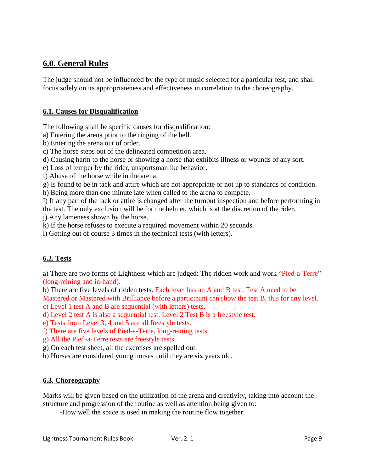# **6.0. General Rules**

The judge should not be influenced by the type of music selected for a particular test, and shall focus solely on its appropriateness and effectiveness in correlation to the choreography.

# **6.1. Causes for Disqualification**

The following shall be specific causes for disqualification:

a) Entering the arena prior to the ringing of the bell.

b) Entering the arena out of order.

c) The horse steps out of the delineated competition area.

d) Causing harm to the horse or showing a horse that exhibits illness or wounds of any sort.

e) Loss of temper by the rider, unsportsmanlike behavior.

f) Abuse of the horse while in the arena.

g) Is found to be in tack and attire which are not appropriate or not up to standards of condition.

h) Being more than one minute late when called to the arena to compete.

I) If any part of the tack or attire is changed after the turnout inspection and before performing in the test. The only exclusion will be for the helmet, which is at the discretion of the rider.

j) Any lameness shown by the horse.

k) If the horse refuses to execute a required movement within 20 seconds.

l) Getting out of course 3 times in the technical tests (with letters).

# **6.2. Tests**

a) There are two forms of Lightness which are judged: The ridden work and work "Pied-a-Terre" (long-reining and in-hand).

b) There are five levels of ridden tests. Each level has an A and B test. Test A need to be

Mastered or Mastered with Brilliance before a participant can show the test B, this for any level.

c) Level 1 test A and B are sequential (with letters) tests.

d) Level 2 test A is also a sequential test. Level 2 Test B is a freestyle test.

e) Tests from Level 3, 4 and 5 are all freestyle tests.

f) There are five levels of Pied-a-Terre, long-reining tests.

g) All the Pied-a-Terre tests are freestyle tests.

g) On each test sheet, all the exercises are spelled out.

h) Horses are considered young horses until they are **six** years old.

# **6.3. Choreography**

Marks will be given based on the utilization of the arena and creativity, taking into account the structure and progression of the routine as well as attention being given to:

-How well the space is used in making the routine flow together.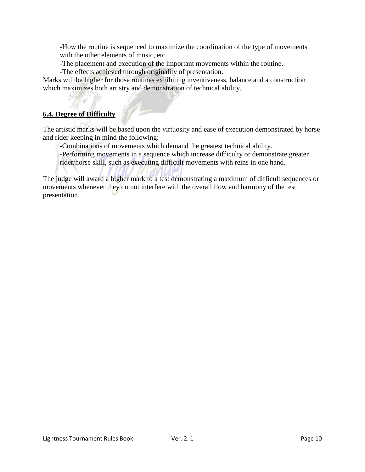-How the routine is sequenced to maximize the coordination of the type of movements with the other elements of music, etc.

-The placement and execution of the important movements within the routine.

-The effects achieved through originality of presentation.

Marks will be higher for those routines exhibiting inventiveness, balance and a construction which maximizes both artistry and demonstration of technical ability.

# **6.4. Degree of Difficulty**

The artistic marks will be based upon the virtuosity and ease of execution demonstrated by horse and rider keeping in mind the following:

-Combinations of movements which demand the greatest technical ability.

-Performing movements in a sequence which increase difficulty or demonstrate greater rider/horse skill, such as executing difficult movements with reins in one hand.

The judge will award a higher mark to a test demonstrating a maximum of difficult sequences or movements whenever they do not interfere with the overall flow and harmony of the test presentation.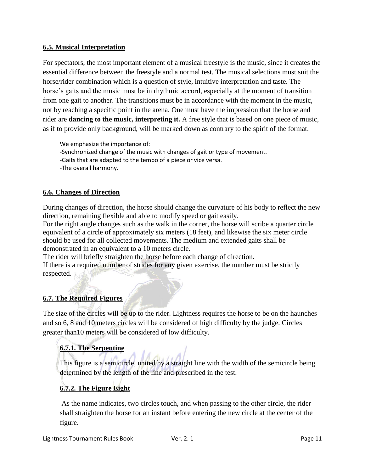# **6.5. Musical Interpretation**

For spectators, the most important element of a musical freestyle is the music, since it creates the essential difference between the freestyle and a normal test. The musical selections must suit the horse/rider combination which is a question of style, intuitive interpretation and taste. The horse's gaits and the music must be in rhythmic accord, especially at the moment of transition from one gait to another. The transitions must be in accordance with the moment in the music, not by reaching a specific point in the arena. One must have the impression that the horse and rider are **dancing to the music, interpreting it.** A free style that is based on one piece of music, as if to provide only background, will be marked down as contrary to the spirit of the format.

We emphasize the importance of: -Synchronized change of the music with changes of gait or type of movement. -Gaits that are adapted to the tempo of a piece or vice versa. -The overall harmony.

# **6.6. Changes of Direction**

During changes of direction, the horse should change the curvature of his body to reflect the new direction, remaining flexible and able to modify speed or gait easily.

For the right angle changes such as the walk in the corner, the horse will scribe a quarter circle equivalent of a circle of approximately six meters (18 feet), and likewise the six meter circle should be used for all collected movements. The medium and extended gaits shall be demonstrated in an equivalent to a 10 meters circle.

The rider will briefly straighten the horse before each change of direction. If there is a required number of strides for any given exercise, the number must be strictly respected.

# **6.7. The Required Figures**

The size of the circles will be up to the rider. Lightness requires the horse to be on the haunches and so 6, 8 and 10 meters circles will be considered of high difficulty by the judge. Circles greater than10 meters will be considered of low difficulty.

# **6.7.1. The Serpentine**

This figure is a semicircle, united by a straight line with the width of the semicircle being determined by the length of the line and prescribed in the test.

# **6.7.2. The Figure Eight**

As the name indicates, two circles touch, and when passing to the other circle, the rider shall straighten the horse for an instant before entering the new circle at the center of the figure.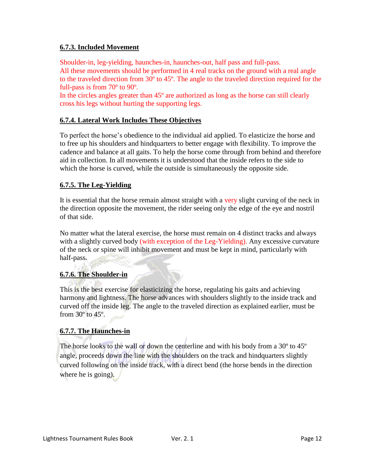# **6.7.3. Included Movement**

Shoulder-in, leg-yielding, haunches-in, haunches-out, half pass and full-pass.

All these movements should be performed in 4 real tracks on the ground with a real angle to the traveled direction from 30º to 45º. The angle to the traveled direction required for the full-pass is from 70º to 90º.

In the circles angles greater than 45º are authorized as long as the horse can still clearly cross his legs without hurting the supporting legs.

# **6.7.4. Lateral Work Includes These Objectives**

To perfect the horse's obedience to the individual aid applied. To elasticize the horse and to free up his shoulders and hindquarters to better engage with flexibility. To improve the cadence and balance at all gaits. To help the horse come through from behind and therefore aid in collection. In all movements it is understood that the inside refers to the side to which the horse is curved, while the outside is simultaneously the opposite side.

# **6.7.5. The Leg-Yielding**

It is essential that the horse remain almost straight with a very slight curving of the neck in the direction opposite the movement, the rider seeing only the edge of the eye and nostril of that side.

No matter what the lateral exercise, the horse must remain on 4 distinct tracks and always with a slightly curved body (with exception of the Leg-Yielding). Any excessive curvature of the neck or spine will inhibit movement and must be kept in mind, particularly with half-pass.

# **6.7.6. The Shoulder-in**

This is the best exercise for elasticizing the horse, regulating his gaits and achieving harmony and lightness. The horse advances with shoulders slightly to the inside track and curved off the inside leg. The angle to the traveled direction as explained earlier, must be from 30º to 45º.

# **6.7.7. The Haunches-in**

The horse looks to the wall or down the centerline and with his body from a 30º to 45º angle, proceeds down the line with the shoulders on the track and hindquarters slightly curved following on the inside track, with a direct bend (the horse bends in the direction where he is going).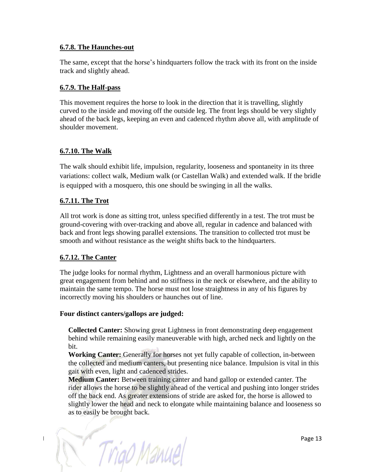#### **6.7.8. The Haunches-out**

The same, except that the horse's hindquarters follow the track with its front on the inside track and slightly ahead.

# **6.7.9. The Half-pass**

This movement requires the horse to look in the direction that it is travelling, slightly curved to the inside and moving off the outside leg. The front legs should be very slightly ahead of the back legs, keeping an even and cadenced rhythm above all, with amplitude of shoulder movement.

# **6.7.10. The Walk**

The walk should exhibit life, impulsion, regularity, looseness and spontaneity in its three variations: collect walk, Medium walk (or Castellan Walk) and extended walk. If the bridle is equipped with a mosquero, this one should be swinging in all the walks.

# **6.7.11. The Trot**

All trot work is done as sitting trot, unless specified differently in a test. The trot must be ground-covering with over-tracking and above all, regular in cadence and balanced with back and front legs showing parallel extensions. The transition to collected trot must be smooth and without resistance as the weight shifts back to the hindquarters.

#### **6.7.12. The Canter**

The judge looks for normal rhythm, Lightness and an overall harmonious picture with great engagement from behind and no stiffness in the neck or elsewhere, and the ability to maintain the same tempo. The horse must not lose straightness in any of his figures by incorrectly moving his shoulders or haunches out of line.

#### **Four distinct canters/gallops are judged:**

**Collected Canter:** Showing great Lightness in front demonstrating deep engagement behind while remaining easily maneuverable with high, arched neck and lightly on the bit.

**Working Canter:** Generally for horses not yet fully capable of collection, in-between the collected and medium canters, but presenting nice balance. Impulsion is vital in this gait with even, light and cadenced strides.

**Medium Canter:** Between training canter and hand gallop or extended canter. The rider allows the horse to be slightly ahead of the vertical and pushing into longer strides off the back end. As greater extensions of stride are asked for, the horse is allowed to slightly lower the head and neck to elongate while maintaining balance and looseness so as to easily be brought back.

Triao Manuel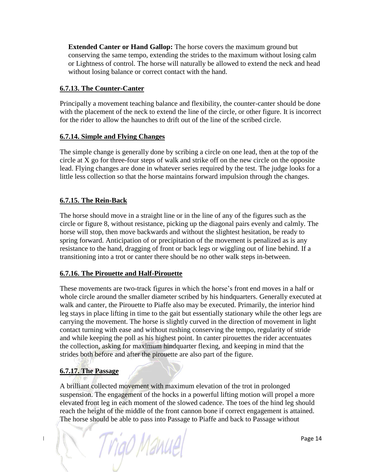**Extended Canter or Hand Gallop:** The horse covers the maximum ground but conserving the same tempo, extending the strides to the maximum without losing calm or Lightness of control. The horse will naturally be allowed to extend the neck and head without losing balance or correct contact with the hand.

# **6.7.13. The Counter-Canter**

Principally a movement teaching balance and flexibility, the counter-canter should be done with the placement of the neck to extend the line of the circle, or other figure. It is incorrect for the rider to allow the haunches to drift out of the line of the scribed circle.

# **6.7.14. Simple and Flying Changes**

The simple change is generally done by scribing a circle on one lead, then at the top of the circle at X go for three-four steps of walk and strike off on the new circle on the opposite lead. Flying changes are done in whatever series required by the test. The judge looks for a little less collection so that the horse maintains forward impulsion through the changes.

# **6.7.15. The Rein-Back**

The horse should move in a straight line or in the line of any of the figures such as the circle or figure 8, without resistance, picking up the diagonal pairs evenly and calmly. The horse will stop, then move backwards and without the slightest hesitation, be ready to spring forward. Anticipation of or precipitation of the movement is penalized as is any resistance to the hand, dragging of front or back legs or wiggling out of line behind. If a transitioning into a trot or canter there should be no other walk steps in-between.

#### **6.7.16. The Pirouette and Half-Pirouette**

These movements are two-track figures in which the horse's front end moves in a half or whole circle around the smaller diameter scribed by his hindquarters. Generally executed at walk and canter, the Pirouette to Piaffe also may be executed. Primarily, the interior hind leg stays in place lifting in time to the gait but essentially stationary while the other legs are carrying the movement. The horse is slightly curved in the direction of movement in light contact turning with ease and without rushing conserving the tempo, regularity of stride and while keeping the poll as his highest point. In canter pirouettes the rider accentuates the collection, asking for maximum hindquarter flexing, and keeping in mind that the strides both before and after the pirouette are also part of the figure.

# **6.7.17. The Passage**

A brilliant collected movement with maximum elevation of the trot in prolonged suspension. The engagement of the hocks in a powerful lifting motion will propel a more elevated front leg in each moment of the slowed cadence. The toes of the hind leg should reach the height of the middle of the front cannon bone if correct engagement is attained. The horse should be able to pass into Passage to Piaffe and back to Passage without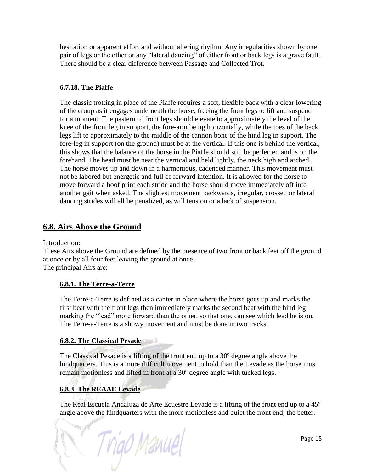hesitation or apparent effort and without altering rhythm. Any irregularities shown by one pair of legs or the other or any "lateral dancing" of either front or back legs is a grave fault. There should be a clear difference between Passage and Collected Trot.

# **6.7.18. The Piaffe**

The classic trotting in place of the Piaffe requires a soft, flexible back with a clear lowering of the croup as it engages underneath the horse, freeing the front legs to lift and suspend for a moment. The pastern of front legs should elevate to approximately the level of the knee of the front leg in support, the fore-arm being horizontally, while the toes of the back legs lift to approximately to the middle of the cannon bone of the hind leg in support. The fore-leg in support (on the ground) must be at the vertical. If this one is behind the vertical, this shows that the balance of the horse in the Piaffe should still be perfected and is on the forehand. The head must be near the vertical and held lightly, the neck high and arched. The horse moves up and down in a harmonious, cadenced manner. This movement must not be labored but energetic and full of forward intention. It is allowed for the horse to move forward a hoof print each stride and the horse should move immediately off into another gait when asked. The slightest movement backwards, irregular, crossed or lateral dancing strides will all be penalized, as will tension or a lack of suspension.

# **6.8. Airs Above the Ground**

Introduction:

These Airs above the Ground are defined by the presence of two front or back feet off the ground at once or by all four feet leaving the ground at once. The principal Airs are:

# **6.8.1. The Terre-a-Terre**

The Terre-a-Terre is defined as a canter in place where the horse goes up and marks the first beat with the front legs then immediately marks the second beat with the hind leg marking the "lead" more forward than the other, so that one, can see which lead he is on. The Terre-a-Terre is a showy movement and must be done in two tracks.

#### **6.8.2. The Classical Pesade**

The Classical Pesade is a lifting of the front end up to a 30º degree angle above the hindquarters. This is a more difficult movement to hold than the Levade as the horse must remain motionless and lifted in front at a 30º degree angle with tucked legs.

# **6.8.3. The REAAE Levade**

The Real Escuela Andaluza de Arte Ecuestre Levade is a lifting of the front end up to a 45º angle above the hindquarters with the more motionless and quiet the front end, the better.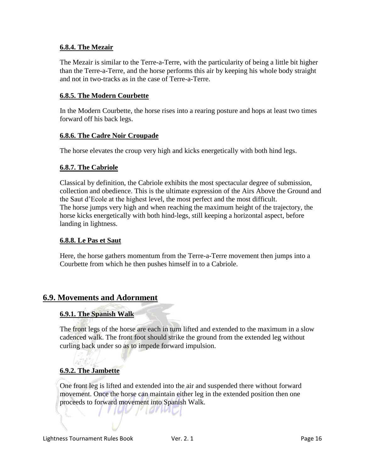# **6.8.4. The Mezair**

The Mezair is similar to the Terre-a-Terre, with the particularity of being a little bit higher than the Terre-a-Terre, and the horse performs this air by keeping his whole body straight and not in two-tracks as in the case of Terre-a-Terre.

# **6.8.5. The Modern Courbette**

In the Modern Courbette, the horse rises into a rearing posture and hops at least two times forward off his back legs.

# **6.8.6. The Cadre Noir Croupade**

The horse elevates the croup very high and kicks energetically with both hind legs.

# **6.8.7. The Cabriole**

Classical by definition, the Cabriole exhibits the most spectacular degree of submission, collection and obedience. This is the ultimate expression of the Airs Above the Ground and the Saut d'Ecole at the highest level, the most perfect and the most difficult. The horse jumps very high and when reaching the maximum height of the trajectory, the horse kicks energetically with both hind-legs, still keeping a horizontal aspect, before landing in lightness.

# **6.8.8. Le Pas et Saut**

Here, the horse gathers momentum from the Terre-a-Terre movement then jumps into a Courbette from which he then pushes himself in to a Cabriole.

# **6.9. Movements and Adornment**

# **6.9.1. The Spanish Walk**

The front legs of the horse are each in turn lifted and extended to the maximum in a slow cadenced walk. The front foot should strike the ground from the extended leg without curling back under so as to impede forward impulsion.

# **6.9.2. The Jambette**

One front leg is lifted and extended into the air and suspended there without forward movement. Once the horse can maintain either leg in the extended position then one proceeds to forward movement into Spanish Walk.

IUU MOND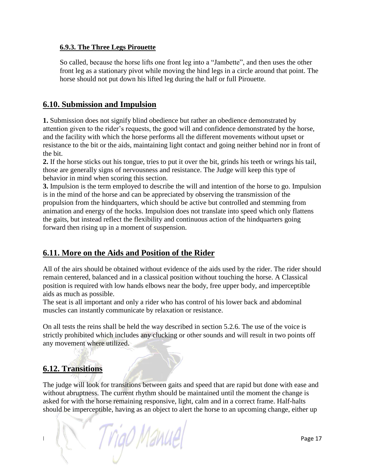# **6.9.3. The Three Legs Pirouette**

So called, because the horse lifts one front leg into a "Jambette", and then uses the other front leg as a stationary pivot while moving the hind legs in a circle around that point. The horse should not put down his lifted leg during the half or full Pirouette.

# **6.10. Submission and Impulsion**

**1.** Submission does not signify blind obedience but rather an obedience demonstrated by attention given to the rider's requests, the good will and confidence demonstrated by the horse, and the facility with which the horse performs all the different movements without upset or resistance to the bit or the aids, maintaining light contact and going neither behind nor in front of the bit.

**2.** If the horse sticks out his tongue, tries to put it over the bit, grinds his teeth or wrings his tail, those are generally signs of nervousness and resistance. The Judge will keep this type of behavior in mind when scoring this section.

**3.** Impulsion is the term employed to describe the will and intention of the horse to go. Impulsion is in the mind of the horse and can be appreciated by observing the transmission of the propulsion from the hindquarters, which should be active but controlled and stemming from animation and energy of the hocks. Impulsion does not translate into speed which only flattens the gaits, but instead reflect the flexibility and continuous action of the hindquarters going forward then rising up in a moment of suspension.

# **6.11. More on the Aids and Position of the Rider**

All of the airs should be obtained without evidence of the aids used by the rider. The rider should remain centered, balanced and in a classical position without touching the horse. A Classical position is required with low hands elbows near the body, free upper body, and imperceptible aids as much as possible.

The seat is all important and only a rider who has control of his lower back and abdominal muscles can instantly communicate by relaxation or resistance.

On all tests the reins shall be held the way described in section 5.2.6. The use of the voice is strictly prohibited which includes any clucking or other sounds and will result in two points off any movement where utilized.

# **6.12. Transitions**

The judge will look for transitions between gaits and speed that are rapid but done with ease and without abruptness. The current rhythm should be maintained until the moment the change is asked for with the horse remaining responsive, light, calm and in a correct frame. Half-halts should be imperceptible, having as an object to alert the horse to an upcoming change, either up